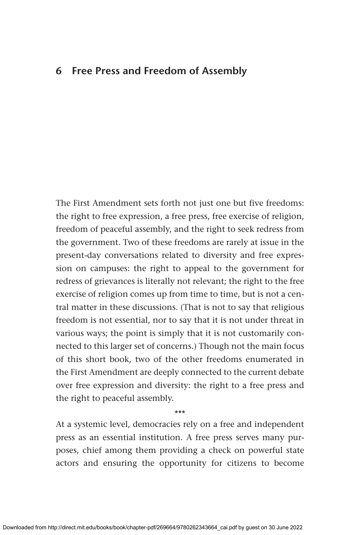## **6 Free Press and Freedom of Assembly**

The First Amendment sets forth not just one but five freedoms: the right to free expression, a free press, free exercise of religion, freedom of peaceful assembly, and the right to seek redress from the government. Two of these freedoms are rarely at issue in the present-day conversations related to diversity and free expression on campuses: the right to appeal to the government for redress of grievances is literally not relevant; the right to the free exercise of religion comes up from time to time, but is not a central matter in these discussions. (That is not to say that religious freedom is not essential, nor to say that it is not under threat in various ways; the point is simply that it is not customarily connected to this larger set of concerns.) Though not the main focus of this short book, two of the other freedoms enumerated in the First Amendment are deeply connected to the current debate over free expression and diversity: the right to a free press and the right to peaceful assembly.

At a systemic level, democracies rely on a free and independent press as an essential institution. A free press serves many purposes, chief among them providing a check on powerful state actors and ensuring the opportunity for citizens to become

\*\*\*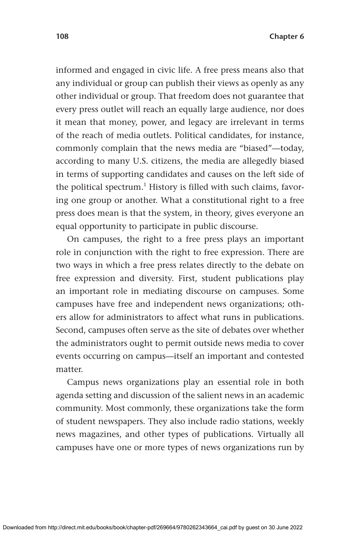informed and engaged in civic life. A free press means also that any individual or group can publish their views as openly as any other individual or group. That freedom does not guarantee that every press outlet will reach an equally large audience, nor does it mean that money, power, and legacy are irrelevant in terms of the reach of media outlets. Political candidates, for instance, commonly complain that the news media are "biased"—today, according to many U.S. citizens, the media are allegedly biased in terms of supporting candidates and causes on the left side of the political spectrum.<sup>1</sup> History is filled with such claims, favoring one group or another. What a constitutional right to a free press does mean is that the system, in theory, gives everyone an equal opportunity to participate in public discourse.

On campuses, the right to a free press plays an important role in conjunction with the right to free expression. There are two ways in which a free press relates directly to the debate on free expression and diversity. First, student publications play an important role in mediating discourse on campuses. Some campuses have free and independent news organizations; others allow for administrators to affect what runs in publications. Second, campuses often serve as the site of debates over whether the administrators ought to permit outside news media to cover events occurring on campus—itself an important and contested matter.

Campus news organizations play an essential role in both agenda setting and discussion of the salient news in an academic community. Most commonly, these organizations take the form of student newspapers. They also include radio stations, weekly news magazines, and other types of publications. Virtually all campuses have one or more types of news organizations run by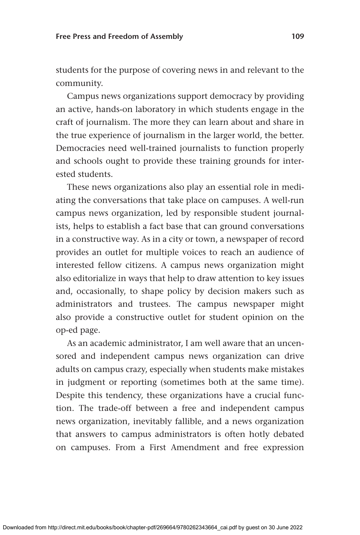students for the purpose of covering news in and relevant to the community.

Campus news organizations support democracy by providing an active, hands-on laboratory in which students engage in the craft of journalism. The more they can learn about and share in the true experience of journalism in the larger world, the better. Democracies need well-trained journalists to function properly and schools ought to provide these training grounds for interested students.

These news organizations also play an essential role in mediating the conversations that take place on campuses. A well-run campus news organization, led by responsible student journalists, helps to establish a fact base that can ground conversations in a constructive way. As in a city or town, a newspaper of record provides an outlet for multiple voices to reach an audience of interested fellow citizens. A campus news organization might also editorialize in ways that help to draw attention to key issues and, occasionally, to shape policy by decision makers such as administrators and trustees. The campus newspaper might also provide a constructive outlet for student opinion on the op-ed page.

As an academic administrator, I am well aware that an uncensored and independent campus news organization can drive adults on campus crazy, especially when students make mistakes in judgment or reporting (sometimes both at the same time). Despite this tendency, these organizations have a crucial function. The trade-off between a free and independent campus news organization, inevitably fallible, and a news organization that answers to campus administrators is often hotly debated on campuses. From a First Amendment and free expression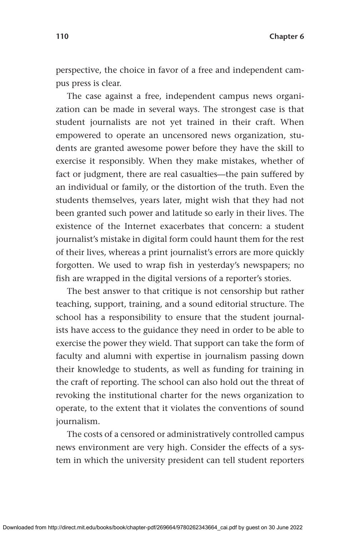**110 Chapter 6**

perspective, the choice in favor of a free and independent campus press is clear.

The case against a free, independent campus news organization can be made in several ways. The strongest case is that student journalists are not yet trained in their craft. When empowered to operate an uncensored news organization, students are granted awesome power before they have the skill to exercise it responsibly. When they make mistakes, whether of fact or judgment, there are real casualties—the pain suffered by an individual or family, or the distortion of the truth. Even the students themselves, years later, might wish that they had not been granted such power and latitude so early in their lives. The existence of the Internet exacerbates that concern: a student journalist's mistake in digital form could haunt them for the rest of their lives, whereas a print journalist's errors are more quickly forgotten. We used to wrap fish in yesterday's newspapers; no fish are wrapped in the digital versions of a reporter's stories.

The best answer to that critique is not censorship but rather teaching, support, training, and a sound editorial structure. The school has a responsibility to ensure that the student journalists have access to the guidance they need in order to be able to exercise the power they wield. That support can take the form of faculty and alumni with expertise in journalism passing down their knowledge to students, as well as funding for training in the craft of reporting. The school can also hold out the threat of revoking the institutional charter for the news organization to operate, to the extent that it violates the conventions of sound journalism.

The costs of a censored or administratively controlled campus news environment are very high. Consider the effects of a system in which the university president can tell student reporters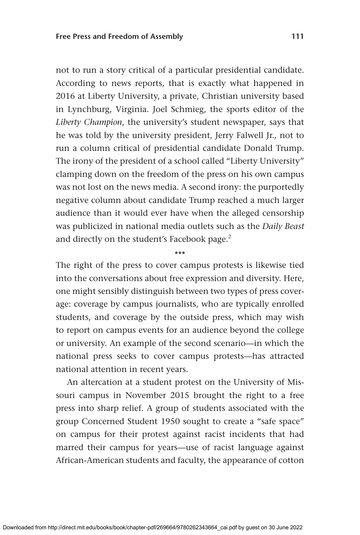not to run a story critical of a particular presidential candidate. According to news reports, that is exactly what happened in 2016 at Liberty University, a private, Christian university based in Lynchburg, Virginia. Joel Schmieg, the sports editor of the *Liberty Champion*, the university's student newspaper, says that he was told by the university president, Jerry Falwell Jr., not to run a column critical of presidential candidate Donald Trump. The irony of the president of a school called "Liberty University" clamping down on the freedom of the press on his own campus was not lost on the news media. A second irony: the purportedly negative column about candidate Trump reached a much larger audience than it would ever have when the alleged censorship was publicized in national media outlets such as the *Daily Beast* and directly on the student's Facebook page.<sup>2</sup>

The right of the press to cover campus protests is likewise tied into the conversations about free expression and diversity. Here, one might sensibly distinguish between two types of press coverage: coverage by campus journalists, who are typically enrolled students, and coverage by the outside press, which may wish to report on campus events for an audience beyond the college or university. An example of the second scenario—in which the national press seeks to cover campus protests—has attracted national attention in recent years.

\*\*\*

An altercation at a student protest on the University of Missouri campus in November 2015 brought the right to a free press into sharp relief. A group of students associated with the group Concerned Student 1950 sought to create a "safe space" on campus for their protest against racist incidents that had marred their campus for years—use of racist language against African-American students and faculty, the appearance of cotton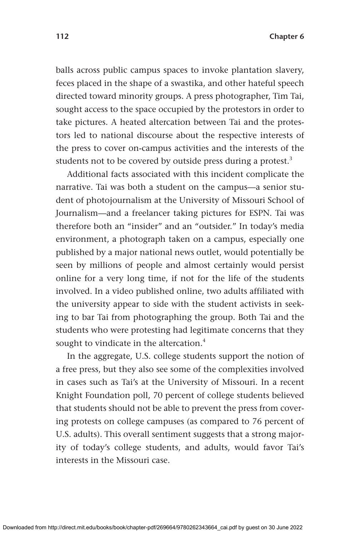balls across public campus spaces to invoke plantation slavery, feces placed in the shape of a swastika, and other hateful speech directed toward minority groups. A press photographer, Tim Tai, sought access to the space occupied by the protestors in order to take pictures. A heated altercation between Tai and the protestors led to national discourse about the respective interests of the press to cover on-campus activities and the interests of the students not to be covered by outside press during a protest.<sup>3</sup>

Additional facts associated with this incident complicate the narrative. Tai was both a student on the campus—a senior student of photojournalism at the University of Missouri School of Journalism—and a freelancer taking pictures for ESPN. Tai was therefore both an "insider" and an "outsider." In today's media environment, a photograph taken on a campus, especially one published by a major national news outlet, would potentially be seen by millions of people and almost certainly would persist online for a very long time, if not for the life of the students involved. In a video published online, two adults affiliated with the university appear to side with the student activists in seeking to bar Tai from photographing the group. Both Tai and the students who were protesting had legitimate concerns that they sought to vindicate in the altercation.<sup>4</sup>

In the aggregate, U.S. college students support the notion of a free press, but they also see some of the complexities involved in cases such as Tai's at the University of Missouri. In a recent Knight Foundation poll, 70 percent of college students believed that students should not be able to prevent the press from covering protests on college campuses (as compared to 76 percent of U.S. adults). This overall sentiment suggests that a strong majority of today's college students, and adults, would favor Tai's interests in the Missouri case.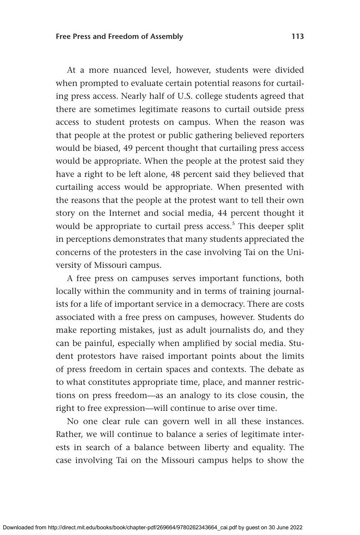At a more nuanced level, however, students were divided when prompted to evaluate certain potential reasons for curtailing press access. Nearly half of U.S. college students agreed that there are sometimes legitimate reasons to curtail outside press access to student protests on campus. When the reason was that people at the protest or public gathering believed reporters would be biased, 49 percent thought that curtailing press access would be appropriate. When the people at the protest said they have a right to be left alone, 48 percent said they believed that curtailing access would be appropriate. When presented with the reasons that the people at the protest want to tell their own story on the Internet and social media, 44 percent thought it would be appropriate to curtail press access.<sup>5</sup> This deeper split in perceptions demonstrates that many students appreciated the concerns of the protesters in the case involving Tai on the University of Missouri campus.

A free press on campuses serves important functions, both locally within the community and in terms of training journalists for a life of important service in a democracy. There are costs associated with a free press on campuses, however. Students do make reporting mistakes, just as adult journalists do, and they can be painful, especially when amplified by social media. Student protestors have raised important points about the limits of press freedom in certain spaces and contexts. The debate as to what constitutes appropriate time, place, and manner restrictions on press freedom—as an analogy to its close cousin, the right to free expression—will continue to arise over time.

No one clear rule can govern well in all these instances. Rather, we will continue to balance a series of legitimate interests in search of a balance between liberty and equality. The case involving Tai on the Missouri campus helps to show the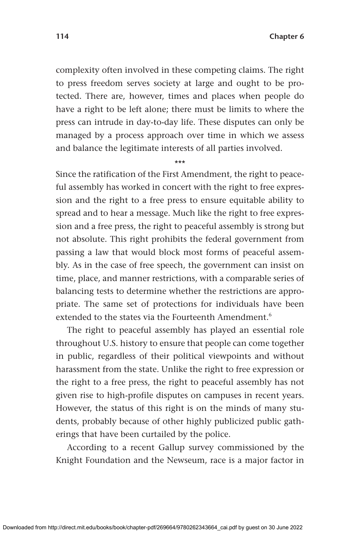**114 Chapter 6**

complexity often involved in these competing claims. The right to press freedom serves society at large and ought to be protected. There are, however, times and places when people do have a right to be left alone; there must be limits to where the press can intrude in day-to-day life. These disputes can only be managed by a process approach over time in which we assess and balance the legitimate interests of all parties involved.

\*\*\*

Since the ratification of the First Amendment, the right to peaceful assembly has worked in concert with the right to free expression and the right to a free press to ensure equitable ability to spread and to hear a message. Much like the right to free expression and a free press, the right to peaceful assembly is strong but not absolute. This right prohibits the federal government from passing a law that would block most forms of peaceful assembly. As in the case of free speech, the government can insist on time, place, and manner restrictions, with a comparable series of balancing tests to determine whether the restrictions are appropriate. The same set of protections for individuals have been extended to the states via the Fourteenth Amendment.<sup>6</sup>

The right to peaceful assembly has played an essential role throughout U.S. history to ensure that people can come together in public, regardless of their political viewpoints and without harassment from the state. Unlike the right to free expression or the right to a free press, the right to peaceful assembly has not given rise to high-profile disputes on campuses in recent years. However, the status of this right is on the minds of many students, probably because of other highly publicized public gatherings that have been curtailed by the police.

According to a recent Gallup survey commissioned by the Knight Foundation and the Newseum, race is a major factor in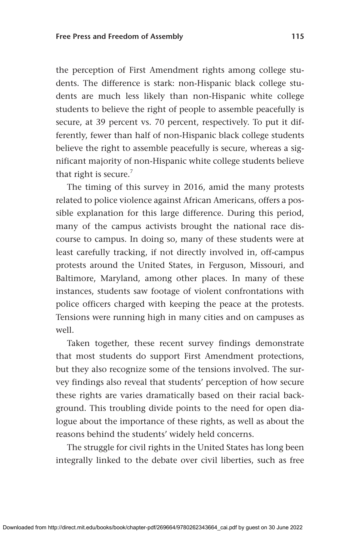the perception of First Amendment rights among college students. The difference is stark: non-Hispanic black college students are much less likely than non-Hispanic white college students to believe the right of people to assemble peacefully is secure, at 39 percent vs. 70 percent, respectively. To put it differently, fewer than half of non-Hispanic black college students believe the right to assemble peacefully is secure, whereas a significant majority of non-Hispanic white college students believe that right is secure.<sup>7</sup>

The timing of this survey in 2016, amid the many protests related to police violence against African Americans, offers a possible explanation for this large difference. During this period, many of the campus activists brought the national race discourse to campus. In doing so, many of these students were at least carefully tracking, if not directly involved in, off-campus protests around the United States, in Ferguson, Missouri, and Baltimore, Maryland, among other places. In many of these instances, students saw footage of violent confrontations with police officers charged with keeping the peace at the protests. Tensions were running high in many cities and on campuses as well.

Taken together, these recent survey findings demonstrate that most students do support First Amendment protections, but they also recognize some of the tensions involved. The survey findings also reveal that students' perception of how secure these rights are varies dramatically based on their racial background. This troubling divide points to the need for open dialogue about the importance of these rights, as well as about the reasons behind the students' widely held concerns.

The struggle for civil rights in the United States has long been integrally linked to the debate over civil liberties, such as free